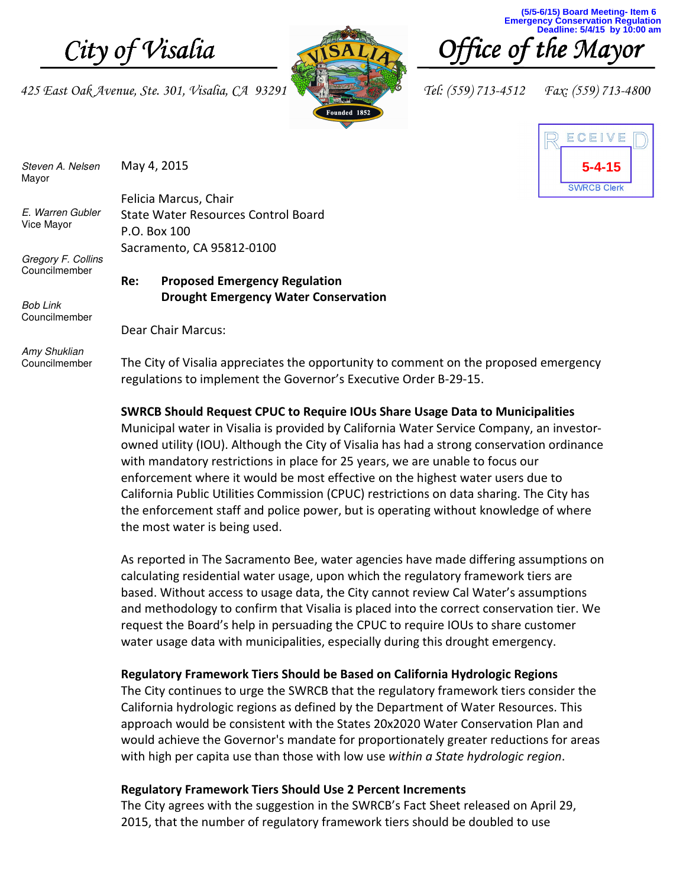425 East Oak Avenue, Ste. 301, Visalia, CA 93291 **Tel: (559)** 713-4512 Fax: (559) 713-4800



**(5/5-6/15) Board Meeting- Item 6 Emergency Conservation Regulation Deadline: 5/4/15 by 10:00 am**





Steven A. Nelsen Mayor May 4, 2015

E. Warren Gubler Vice Mayor

Gregory F. Collins Councilmember

Felicia Marcus, Chair State Water Resources Control Board P.O. Box 100 Sacramento, CA 95812-0100

# Re: Proposed Emergency Regulation Drought Emergency Water Conservation

Bob Link **Councilmember** 

Dear Chair Marcus:

Amy Shuklian Councilmember

The City of Visalia appreciates the opportunity to comment on the proposed emergency regulations to implement the Governor's Executive Order B-29-15.

## SWRCB Should Request CPUC to Require IOUs Share Usage Data to Municipalities

Municipal water in Visalia is provided by California Water Service Company, an investorowned utility (IOU). Although the City of Visalia has had a strong conservation ordinance with mandatory restrictions in place for 25 years, we are unable to focus our enforcement where it would be most effective on the highest water users due to California Public Utilities Commission (CPUC) restrictions on data sharing. The City has the enforcement staff and police power, but is operating without knowledge of where the most water is being used.

As reported in The Sacramento Bee, water agencies have made differing assumptions on calculating residential water usage, upon which the regulatory framework tiers are based. Without access to usage data, the City cannot review Cal Water's assumptions and methodology to confirm that Visalia is placed into the correct conservation tier. We request the Board's help in persuading the CPUC to require IOUs to share customer water usage data with municipalities, especially during this drought emergency.

## Regulatory Framework Tiers Should be Based on California Hydrologic Regions

The City continues to urge the SWRCB that the regulatory framework tiers consider the California hydrologic regions as defined by the Department of Water Resources. This approach would be consistent with the States 20x2020 Water Conservation Plan and would achieve the Governor's mandate for proportionately greater reductions for areas with high per capita use than those with low use within a State hydrologic region.

#### Regulatory Framework Tiers Should Use 2 Percent Increments

The City agrees with the suggestion in the SWRCB's Fact Sheet released on April 29, 2015, that the number of regulatory framework tiers should be doubled to use